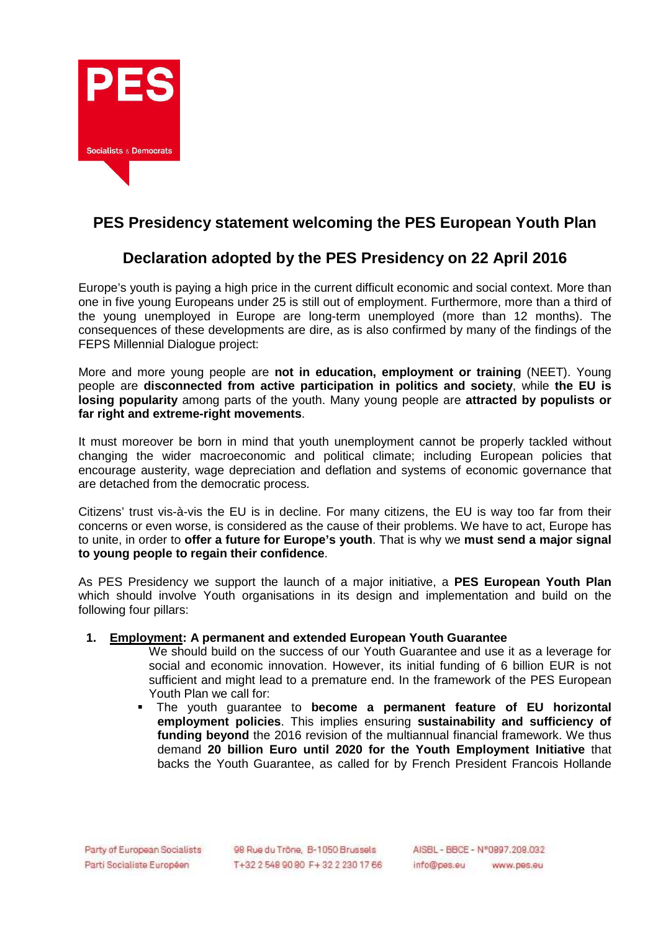

# **PES Presidency statement welcoming the PES European Youth Plan**

## **Declaration adopted by the PES Presidency on 22 April 2016**

Europe's youth is paying a high price in the current difficult economic and social context. More than one in five young Europeans under 25 is still out of employment. Furthermore, more than a third of the young unemployed in Europe are long-term unemployed (more than 12 months). The consequences of these developments are dire, as is also confirmed by many of the findings of the FEPS Millennial Dialogue project:

More and more young people are **not in education, employment or training** (NEET). Young people are **disconnected from active participation in politics and society**, while **the EU is losing popularity** among parts of the youth. Many young people are **attracted by populists or far right and extreme-right movements**.

It must moreover be born in mind that youth unemployment cannot be properly tackled without changing the wider macroeconomic and political climate; including European policies that encourage austerity, wage depreciation and deflation and systems of economic governance that are detached from the democratic process.

Citizens' trust vis-à-vis the EU is in decline. For many citizens, the EU is way too far from their concerns or even worse, is considered as the cause of their problems. We have to act, Europe has to unite, in order to **offer a future for Europe's youth**. That is why we **must send a major signal to young people to regain their confidence**.

As PES Presidency we support the launch of a major initiative, a **PES European Youth Plan** which should involve Youth organisations in its design and implementation and build on the following four pillars:

#### **1. Employment: A permanent and extended European Youth Guarantee**

- We should build on the success of our Youth Guarantee and use it as a leverage for social and economic innovation. However, its initial funding of 6 billion EUR is not sufficient and might lead to a premature end. In the framework of the PES European Youth Plan we call for:
- The youth guarantee to **become a permanent feature of EU horizontal employment policies**. This implies ensuring **sustainability and sufficiency of funding beyond** the 2016 revision of the multiannual financial framework. We thus demand **20 billion Euro until 2020 for the Youth Employment Initiative** that backs the Youth Guarantee, as called for by French President Francois Hollande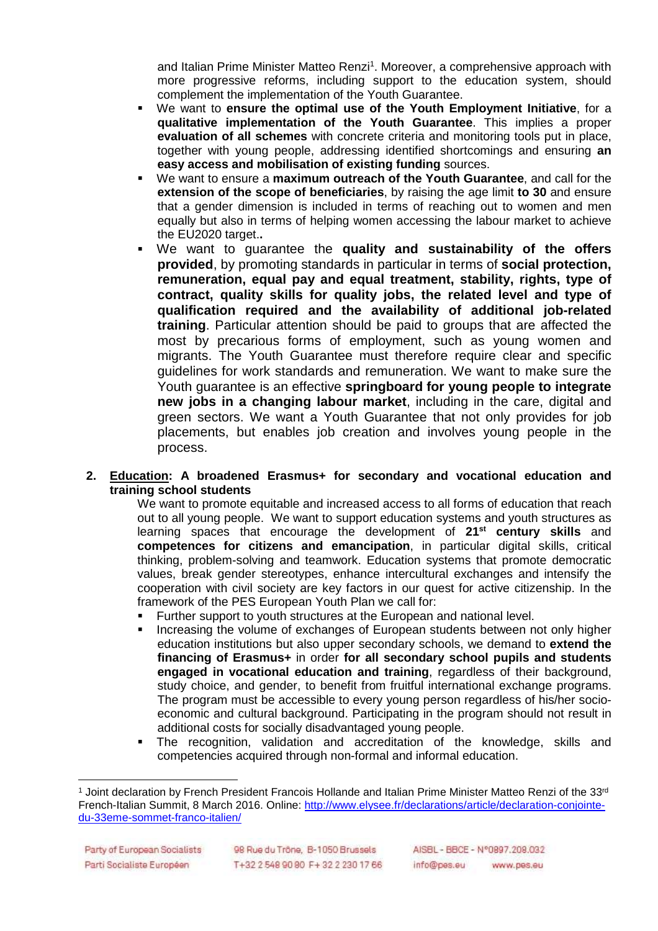and Italian Prime Minister Matteo Renzi<sup>1</sup>. Moreover, a comprehensive approach with more progressive reforms, including support to the education system, should complement the implementation of the Youth Guarantee.

- We want to **ensure the optimal use of the Youth Employment Initiative**, for a **qualitative implementation of the Youth Guarantee**. This implies a proper **evaluation of all schemes** with concrete criteria and monitoring tools put in place, together with young people, addressing identified shortcomings and ensuring **an easy access and mobilisation of existing funding** sources.
- We want to ensure a **maximum outreach of the Youth Guarantee**, and call for the **extension of the scope of beneficiaries**, by raising the age limit **to 30** and ensure that a gender dimension is included in terms of reaching out to women and men equally but also in terms of helping women accessing the labour market to achieve the EU2020 target.**.**
- We want to guarantee the **quality and sustainability of the offers provided**, by promoting standards in particular in terms of **social protection, remuneration, equal pay and equal treatment, stability, rights, type of contract, quality skills for quality jobs, the related level and type of qualification required and the availability of additional job-related training**. Particular attention should be paid to groups that are affected the most by precarious forms of employment, such as young women and migrants. The Youth Guarantee must therefore require clear and specific guidelines for work standards and remuneration. We want to make sure the Youth guarantee is an effective **springboard for young people to integrate new jobs in a changing labour market**, including in the care, digital and green sectors. We want a Youth Guarantee that not only provides for job placements, but enables job creation and involves young people in the process.

#### **2. Education: A broadened Erasmus+ for secondary and vocational education and training school students**

We want to promote equitable and increased access to all forms of education that reach out to all young people. We want to support education systems and youth structures as learning spaces that encourage the development of **21st century skills** and **competences for citizens and emancipation**, in particular digital skills, critical thinking, problem-solving and teamwork. Education systems that promote democratic values, break gender stereotypes, enhance intercultural exchanges and intensify the cooperation with civil society are key factors in our quest for active citizenship. In the framework of the PES European Youth Plan we call for:

- **Further support to youth structures at the European and national level.**
- Increasing the volume of exchanges of European students between not only higher education institutions but also upper secondary schools, we demand to **extend the financing of Erasmus+** in order **for all secondary school pupils and students engaged in vocational education and training**, regardless of their background, study choice, and gender, to benefit from fruitful international exchange programs. The program must be accessible to every young person regardless of his/her socioeconomic and cultural background. Participating in the program should not result in additional costs for socially disadvantaged young people.
- The recognition, validation and accreditation of the knowledge, skills and competencies acquired through non-formal and informal education.

 $\overline{a}$ 1 Joint declaration by French President Francois Hollande and Italian Prime Minister Matteo Renzi of the 33<sup>rd</sup> French-Italian Summit, 8 March 2016. Online: http://www.elysee.fr/declarations/article/declaration-conjointedu-33eme-sommet-franco-italien/